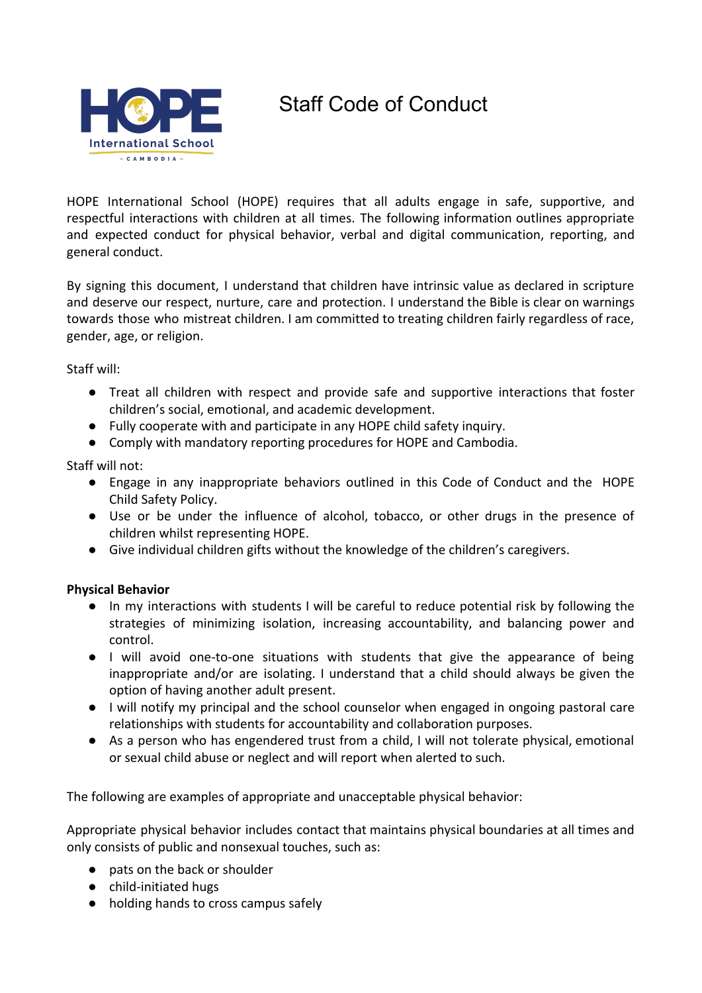

# Staff Code of Conduct

HOPE International School (HOPE) requires that all adults engage in safe, supportive, and respectful interactions with children at all times. The following information outlines appropriate and expected conduct for physical behavior, verbal and digital communication, reporting, and general conduct.

By signing this document, I understand that children have intrinsic value as declared in scripture and deserve our respect, nurture, care and protection. I understand the Bible is clear on warnings towards those who mistreat children. I am committed to treating children fairly regardless of race, gender, age, or religion.

Staff will:

- Treat all children with respect and provide safe and supportive interactions that foster children's social, emotional, and academic development.
- Fully cooperate with and participate in any HOPE child safety inquiry.
- Comply with mandatory reporting procedures for HOPE and Cambodia.

Staff will not:

- Engage in any inappropriate behaviors outlined in this Code of Conduct and the HOPE Child Safety Policy.
- Use or be under the influence of alcohol, tobacco, or other drugs in the presence of children whilst representing HOPE.
- Give individual children gifts without the knowledge of the children's caregivers.

## **Physical Behavior**

- In my interactions with students I will be careful to reduce potential risk by following the strategies of minimizing isolation, increasing accountability, and balancing power and control.
- I will avoid one-to-one situations with students that give the appearance of being inappropriate and/or are isolating. I understand that a child should always be given the option of having another adult present.
- I will notify my principal and the school counselor when engaged in ongoing pastoral care relationships with students for accountability and collaboration purposes.
- As a person who has engendered trust from a child, I will not tolerate physical, emotional or sexual child abuse or neglect and will report when alerted to such.

The following are examples of appropriate and unacceptable physical behavior:

Appropriate physical behavior includes contact that maintains physical boundaries at all times and only consists of public and nonsexual touches, such as:

- pats on the back or shoulder
- child-initiated hugs
- holding hands to cross campus safely